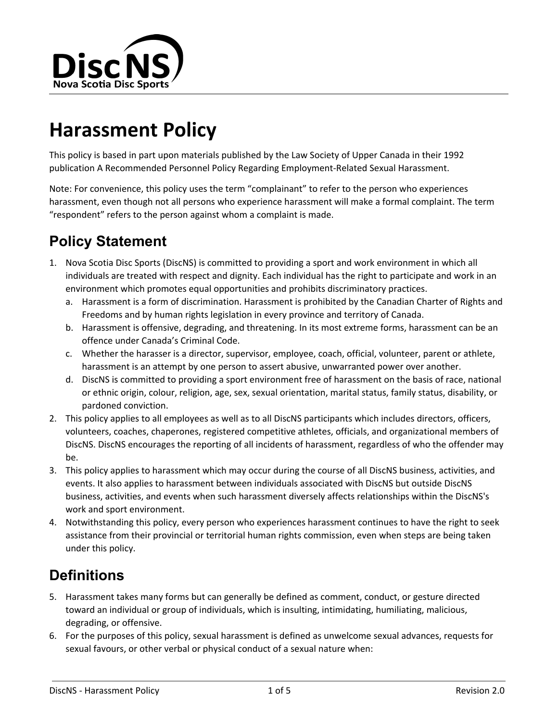

# **Harassment Policy**

This policy is based in part upon materials published by the Law Society of Upper Canada in their 1992 publication A Recommended Personnel Policy Regarding Employment-Related Sexual Harassment.

Note: For convenience, this policy uses the term "complainant" to refer to the person who experiences harassment, even though not all persons who experience harassment will make a formal complaint. The term "respondent" refers to the person against whom a complaint is made.

# **Policy Statement**

- 1. Nova Scotia Disc Sports (DiscNS) is committed to providing a sport and work environment in which all individuals are treated with respect and dignity. Each individual has the right to participate and work in an environment which promotes equal opportunities and prohibits discriminatory practices.
	- a. Harassment is a form of discrimination. Harassment is prohibited by the Canadian Charter of Rights and Freedoms and by human rights legislation in every province and territory of Canada.
	- b. Harassment is offensive, degrading, and threatening. In its most extreme forms, harassment can be an offence under Canada's Criminal Code.
	- c. Whether the harasser is a director, supervisor, employee, coach, official, volunteer, parent or athlete, harassment is an attempt by one person to assert abusive, unwarranted power over another.
	- d. DiscNS is committed to providing a sport environment free of harassment on the basis of race, national or ethnic origin, colour, religion, age, sex, sexual orientation, marital status, family status, disability, or pardoned conviction.
- 2. This policy applies to all employees as well as to all DiscNS participants which includes directors, officers, volunteers, coaches, chaperones, registered competitive athletes, officials, and organizational members of DiscNS. DiscNS encourages the reporting of all incidents of harassment, regardless of who the offender may be.
- 3. This policy applies to harassment which may occur during the course of all DiscNS business, activities, and events. It also applies to harassment between individuals associated with DiscNS but outside DiscNS business, activities, and events when such harassment diversely affects relationships within the DiscNS's work and sport environment.
- 4. Notwithstanding this policy, every person who experiences harassment continues to have the right to seek assistance from their provincial or territorial human rights commission, even when steps are being taken under this policy.

# **Definitions**

- 5. Harassment takes many forms but can generally be defined as comment, conduct, or gesture directed toward an individual or group of individuals, which is insulting, intimidating, humiliating, malicious, degrading, or offensive.
- 6. For the purposes of this policy, sexual harassment is defined as unwelcome sexual advances, requests for sexual favours, or other verbal or physical conduct of a sexual nature when: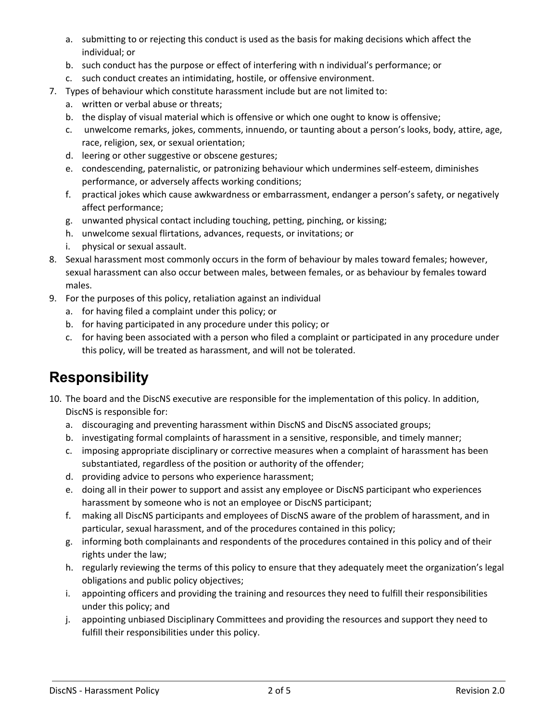- a. submitting to or rejecting this conduct is used as the basis for making decisions which affect the individual; or
- b. such conduct has the purpose or effect of interfering with n individual's performance; or
- c. such conduct creates an intimidating, hostile, or offensive environment.
- 7. Types of behaviour which constitute harassment include but are not limited to:
	- a. written or verbal abuse or threats;
	- b. the display of visual material which is offensive or which one ought to know is offensive;
	- c. unwelcome remarks, jokes, comments, innuendo, or taunting about a person's looks, body, attire, age, race, religion, sex, or sexual orientation;
	- d. leering or other suggestive or obscene gestures;
	- e. condescending, paternalistic, or patronizing behaviour which undermines self-esteem, diminishes performance, or adversely affects working conditions;
	- f. practical jokes which cause awkwardness or embarrassment, endanger a person's safety, or negatively affect performance;
	- g. unwanted physical contact including touching, petting, pinching, or kissing;
	- h. unwelcome sexual flirtations, advances, requests, or invitations; or
	- i. physical or sexual assault.
- 8. Sexual harassment most commonly occurs in the form of behaviour by males toward females; however, sexual harassment can also occur between males, between females, or as behaviour by females toward males.
- 9. For the purposes of this policy, retaliation against an individual
	- a. for having filed a complaint under this policy; or
	- b. for having participated in any procedure under this policy; or
	- c. for having been associated with a person who filed a complaint or participated in any procedure under this policy, will be treated as harassment, and will not be tolerated.

#### **Responsibility**

- 10. The board and the DiscNS executive are responsible for the implementation of this policy. In addition, DiscNS is responsible for:
	- a. discouraging and preventing harassment within DiscNS and DiscNS associated groups;
	- b. investigating formal complaints of harassment in a sensitive, responsible, and timely manner;
	- c. imposing appropriate disciplinary or corrective measures when a complaint of harassment has been substantiated, regardless of the position or authority of the offender;
	- d. providing advice to persons who experience harassment;
	- e. doing all in their power to support and assist any employee or DiscNS participant who experiences harassment by someone who is not an employee or DiscNS participant;
	- f. making all DiscNS participants and employees of DiscNS aware of the problem of harassment, and in particular, sexual harassment, and of the procedures contained in this policy;
	- g. informing both complainants and respondents of the procedures contained in this policy and of their rights under the law;
	- h. regularly reviewing the terms of this policy to ensure that they adequately meet the organization's legal obligations and public policy objectives;
	- i. appointing officers and providing the training and resources they need to fulfill their responsibilities under this policy; and
	- j. appointing unbiased Disciplinary Committees and providing the resources and support they need to fulfill their responsibilities under this policy.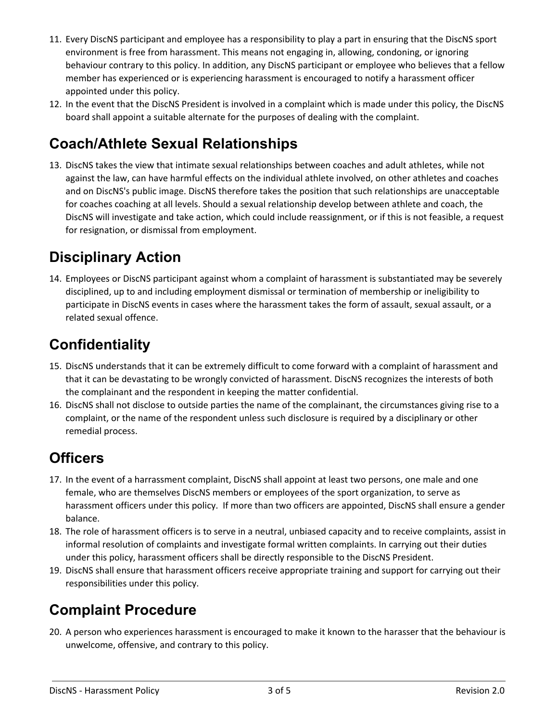- 11. Every DiscNS participant and employee has a responsibility to play a part in ensuring that the DiscNS sport environment is free from harassment. This means not engaging in, allowing, condoning, or ignoring behaviour contrary to this policy. In addition, any DiscNS participant or employee who believes that a fellow member has experienced or is experiencing harassment is encouraged to notify a harassment officer appointed under this policy.
- 12. In the event that the DiscNS President is involved in a complaint which is made under this policy, the DiscNS board shall appoint a suitable alternate for the purposes of dealing with the complaint.

## **Coach/Athlete Sexual Relationships**

13. DiscNS takes the view that intimate sexual relationships between coaches and adult athletes, while not against the law, can have harmful effects on the individual athlete involved, on other athletes and coaches and on DiscNS's public image. DiscNS therefore takes the position that such relationships are unacceptable for coaches coaching at all levels. Should a sexual relationship develop between athlete and coach, the DiscNS will investigate and take action, which could include reassignment, or if this is not feasible, a request for resignation, or dismissal from employment.

#### **Disciplinary Action**

14. Employees or DiscNS participant against whom a complaint of harassment is substantiated may be severely disciplined, up to and including employment dismissal or termination of membership or ineligibility to participate in DiscNS events in cases where the harassment takes the form of assault, sexual assault, or a related sexual offence.

## **Confidentiality**

- 15. DiscNS understands that it can be extremely difficult to come forward with a complaint of harassment and that it can be devastating to be wrongly convicted of harassment. DiscNS recognizes the interests of both the complainant and the respondent in keeping the matter confidential.
- 16. DiscNS shall not disclose to outside parties the name of the complainant, the circumstances giving rise to a complaint, or the name of the respondent unless such disclosure is required by a disciplinary or other remedial process.

#### **Officers**

- 17. In the event of a harrassment complaint, DiscNS shall appoint at least two persons, one male and one female, who are themselves DiscNS members or employees of the sport organization, to serve as harassment officers under this policy. If more than two officers are appointed, DiscNS shall ensure a gender balance.
- 18. The role of harassment officers is to serve in a neutral, unbiased capacity and to receive complaints, assist in informal resolution of complaints and investigate formal written complaints. In carrying out their duties under this policy, harassment officers shall be directly responsible to the DiscNS President.
- 19. DiscNS shall ensure that harassment officers receive appropriate training and support for carrying out their responsibilities under this policy.

## **Complaint Procedure**

20. A person who experiences harassment is encouraged to make it known to the harasser that the behaviour is unwelcome, offensive, and contrary to this policy.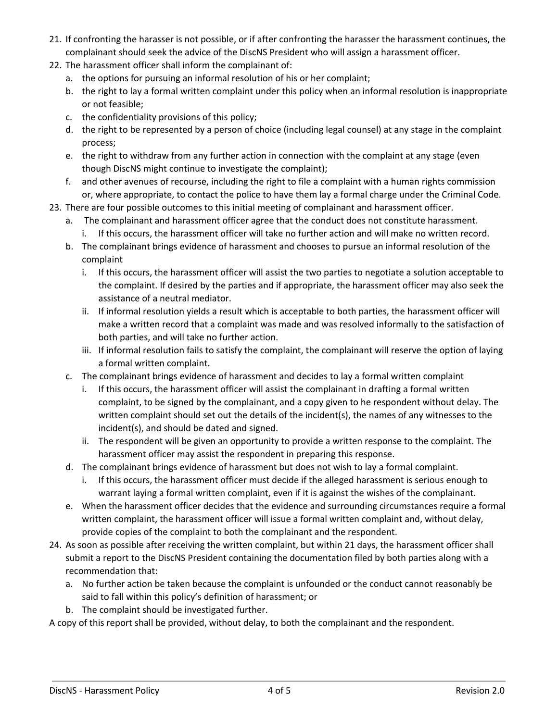- 21. If confronting the harasser is not possible, or if after confronting the harasser the harassment continues, the complainant should seek the advice of the DiscNS President who will assign a harassment officer.
- 22. The harassment officer shall inform the complainant of:
	- a. the options for pursuing an informal resolution of his or her complaint;
	- b. the right to lay a formal written complaint under this policy when an informal resolution is inappropriate or not feasible;
	- c. the confidentiality provisions of this policy;
	- d. the right to be represented by a person of choice (including legal counsel) at any stage in the complaint process;
	- e. the right to withdraw from any further action in connection with the complaint at any stage (even though DiscNS might continue to investigate the complaint);
	- f. and other avenues of recourse, including the right to file a complaint with a human rights commission or, where appropriate, to contact the police to have them lay a formal charge under the Criminal Code.
- 23. There are four possible outcomes to this initial meeting of complainant and harassment officer.
	- a. The complainant and harassment officer agree that the conduct does not constitute harassment.
		- i. If this occurs, the harassment officer will take no further action and will make no written record.
	- b. The complainant brings evidence of harassment and chooses to pursue an informal resolution of the complaint
		- i. If this occurs, the harassment officer will assist the two parties to negotiate a solution acceptable to the complaint. If desired by the parties and if appropriate, the harassment officer may also seek the assistance of a neutral mediator.
		- ii. If informal resolution yields a result which is acceptable to both parties, the harassment officer will make a written record that a complaint was made and was resolved informally to the satisfaction of both parties, and will take no further action.
		- iii. If informal resolution fails to satisfy the complaint, the complainant will reserve the option of laying a formal written complaint.
	- c. The complainant brings evidence of harassment and decides to lay a formal written complaint
		- i. If this occurs, the harassment officer will assist the complainant in drafting a formal written complaint, to be signed by the complainant, and a copy given to he respondent without delay. The written complaint should set out the details of the incident(s), the names of any witnesses to the incident(s), and should be dated and signed.
		- ii. The respondent will be given an opportunity to provide a written response to the complaint. The harassment officer may assist the respondent in preparing this response.
	- d. The complainant brings evidence of harassment but does not wish to lay a formal complaint.
		- i. If this occurs, the harassment officer must decide if the alleged harassment is serious enough to warrant laying a formal written complaint, even if it is against the wishes of the complainant.
	- e. When the harassment officer decides that the evidence and surrounding circumstances require a formal written complaint, the harassment officer will issue a formal written complaint and, without delay, provide copies of the complaint to both the complainant and the respondent.
- 24. As soon as possible after receiving the written complaint, but within 21 days, the harassment officer shall submit a report to the DiscNS President containing the documentation filed by both parties along with a recommendation that:
	- a. No further action be taken because the complaint is unfounded or the conduct cannot reasonably be said to fall within this policy's definition of harassment; or
	- b. The complaint should be investigated further.

A copy of this report shall be provided, without delay, to both the complainant and the respondent.